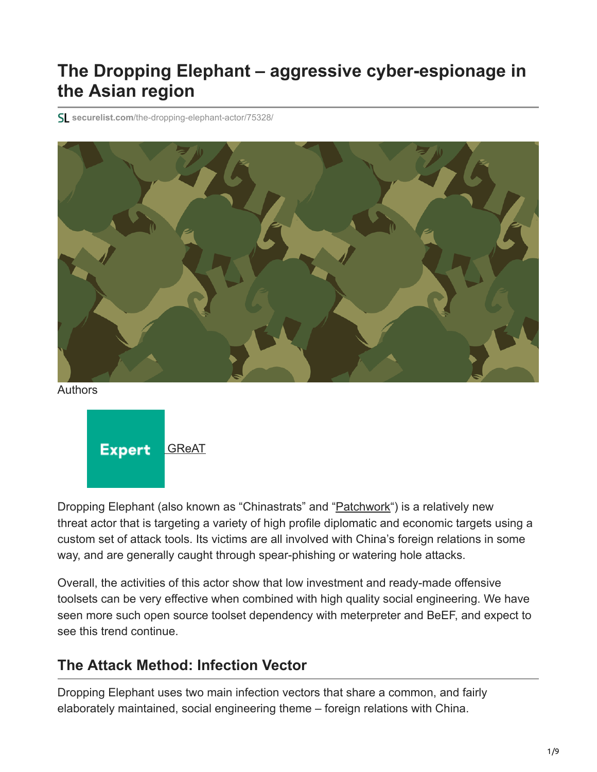# **The Dropping Elephant – aggressive cyber-espionage in the Asian region**

**securelist.com**[/the-dropping-elephant-actor/75328/](https://securelist.com/the-dropping-elephant-actor/75328/)



Authors



Dropping Elephant (also known as "Chinastrats" and ["Patchwork](https://threatpost.com/apt-group-patchwork-cuts-and-pastes-a-potent-attack/119081/)") is a relatively new threat actor that is targeting a variety of high profile diplomatic and economic targets using a custom set of attack tools. Its victims are all involved with China's foreign relations in some way, and are generally caught through spear-phishing or watering hole attacks.

Overall, the activities of this actor show that low investment and ready-made offensive toolsets can be very effective when combined with high quality social engineering. We have seen more such open source toolset dependency with meterpreter and BeEF, and expect to see this trend continue.

## **The Attack Method: Infection Vector**

Dropping Elephant uses two main infection vectors that share a common, and fairly elaborately maintained, social engineering theme – foreign relations with China.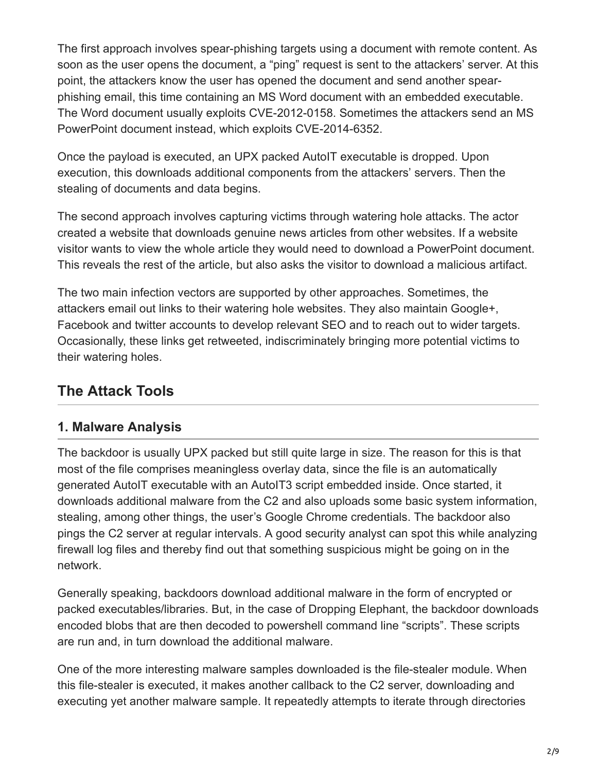The first approach involves spear-phishing targets using a document with remote content. As soon as the user opens the document, a "ping" request is sent to the attackers' server. At this point, the attackers know the user has opened the document and send another spearphishing email, this time containing an MS Word document with an embedded executable. The Word document usually exploits CVE-2012-0158. Sometimes the attackers send an MS PowerPoint document instead, which exploits CVE-2014-6352.

Once the payload is executed, an UPX packed AutoIT executable is dropped. Upon execution, this downloads additional components from the attackers' servers. Then the stealing of documents and data begins.

The second approach involves capturing victims through watering hole attacks. The actor created a website that downloads genuine news articles from other websites. If a website visitor wants to view the whole article they would need to download a PowerPoint document. This reveals the rest of the article, but also asks the visitor to download a malicious artifact.

The two main infection vectors are supported by other approaches. Sometimes, the attackers email out links to their watering hole websites. They also maintain Google+, Facebook and twitter accounts to develop relevant SEO and to reach out to wider targets. Occasionally, these links get retweeted, indiscriminately bringing more potential victims to their watering holes.

## **The Attack Tools**

#### **1. Malware Analysis**

The backdoor is usually UPX packed but still quite large in size. The reason for this is that most of the file comprises meaningless overlay data, since the file is an automatically generated AutoIT executable with an AutoIT3 script embedded inside. Once started, it downloads additional malware from the C2 and also uploads some basic system information, stealing, among other things, the user's Google Chrome credentials. The backdoor also pings the C2 server at regular intervals. A good security analyst can spot this while analyzing firewall log files and thereby find out that something suspicious might be going on in the network.

Generally speaking, backdoors download additional malware in the form of encrypted or packed executables/libraries. But, in the case of Dropping Elephant, the backdoor downloads encoded blobs that are then decoded to powershell command line "scripts". These scripts are run and, in turn download the additional malware.

One of the more interesting malware samples downloaded is the file-stealer module. When this file-stealer is executed, it makes another callback to the C2 server, downloading and executing yet another malware sample. It repeatedly attempts to iterate through directories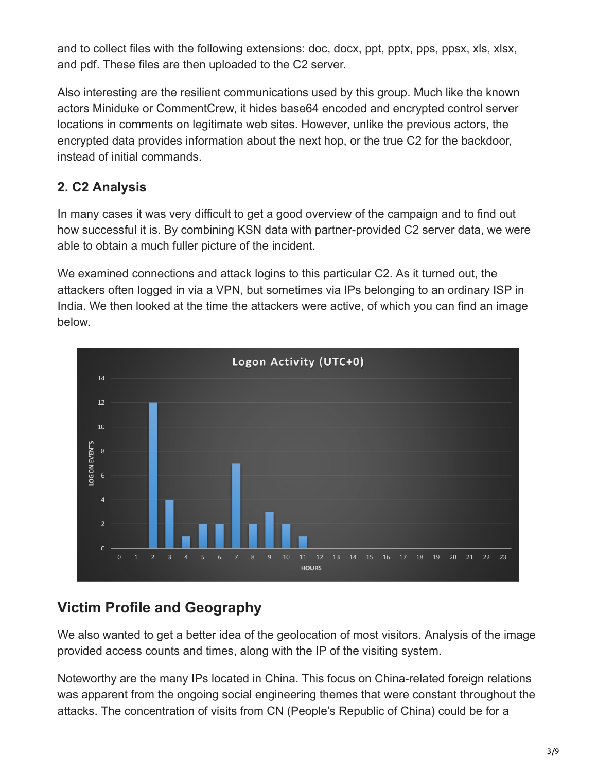and to collect files with the following extensions: doc, docx, ppt, pptx, pps, ppsx, xls, xlsx, and pdf. These files are then uploaded to the C2 server.

Also interesting are the resilient communications used by this group. Much like the known actors Miniduke or CommentCrew, it hides base64 encoded and encrypted control server locations in comments on legitimate web sites. However, unlike the previous actors, the encrypted data provides information about the next hop, or the true C2 for the backdoor, instead of initial commands.

### **2. C2 Analysis**

In many cases it was very difficult to get a good overview of the campaign and to find out how successful it is. By combining KSN data with partner-provided C2 server data, we were able to obtain a much fuller picture of the incident.

We examined connections and attack logins to this particular C2. As it turned out, the attackers often logged in via a VPN, but sometimes via IPs belonging to an ordinary ISP in India. We then looked at the time the attackers were active, of which you can find an image below.



## **Victim Profile and Geography**

We also wanted to get a better idea of the geolocation of most visitors. Analysis of the image provided access counts and times, along with the IP of the visiting system.

Noteworthy are the many IPs located in China. This focus on China-related foreign relations was apparent from the ongoing social engineering themes that were constant throughout the attacks. The concentration of visits from CN (People's Republic of China) could be for a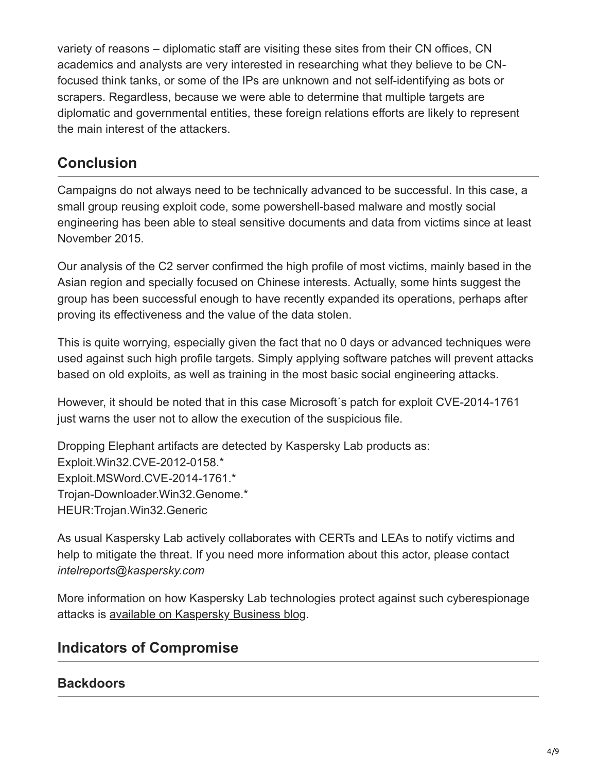variety of reasons – diplomatic staff are visiting these sites from their CN offices, CN academics and analysts are very interested in researching what they believe to be CNfocused think tanks, or some of the IPs are unknown and not self-identifying as bots or scrapers. Regardless, because we were able to determine that multiple targets are diplomatic and governmental entities, these foreign relations efforts are likely to represent the main interest of the attackers.

## **Conclusion**

Campaigns do not always need to be technically advanced to be successful. In this case, a small group reusing exploit code, some powershell-based malware and mostly social engineering has been able to steal sensitive documents and data from victims since at least November 2015.

Our analysis of the C2 server confirmed the high profile of most victims, mainly based in the Asian region and specially focused on Chinese interests. Actually, some hints suggest the group has been successful enough to have recently expanded its operations, perhaps after proving its effectiveness and the value of the data stolen.

This is quite worrying, especially given the fact that no 0 days or advanced techniques were used against such high profile targets. Simply applying software patches will prevent attacks based on old exploits, as well as training in the most basic social engineering attacks.

However, it should be noted that in this case Microsoft´s patch for exploit CVE-2014-1761 just warns the user not to allow the execution of the suspicious file.

Dropping Elephant artifacts are detected by Kaspersky Lab products as: Exploit.Win32.CVE-2012-0158.\* Exploit.MSWord.CVE-2014-1761.\* Trojan-Downloader.Win32.Genome.\* HEUR:Trojan.Win32.Generic

As usual Kaspersky Lab actively collaborates with CERTs and LEAs to notify victims and help to mitigate the threat. If you need more information about this actor, please contact *intelreports@kaspersky.com*

More information on how Kaspersky Lab technologies protect against such cyberespionage attacks is [available on Kaspersky Business blog.](https://business.kaspersky.com/dropping-elephant/5731)

### **Indicators of Compromise**

#### **Backdoors**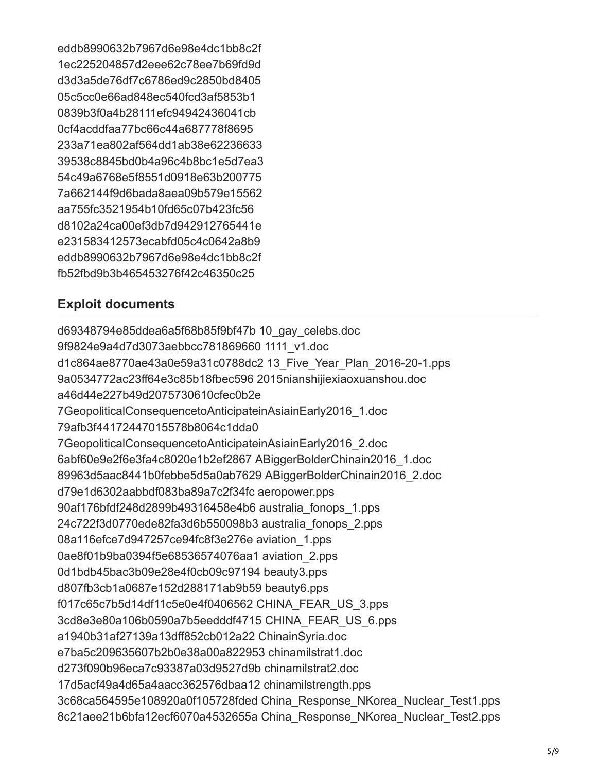eddb8990632b7967d6e98e4dc1bb8c2f 1ec225204857d2eee62c78ee7b69fd9d d3d3a5de76df7c6786ed9c2850bd8405 05c5cc0e66ad848ec540fcd3af5853b1 0839b3f0a4b28111efc94942436041cb 0cf4acddfaa77bc66c44a687778f8695 233a71ea802af564dd1ab38e62236633 39538c8845bd0b4a96c4b8bc1e5d7ea3 54c49a6768e5f8551d0918e63b200775 7a662144f9d6bada8aea09b579e15562 aa755fc3521954b10fd65c07b423fc56 d8102a24ca00ef3db7d942912765441e e231583412573ecabfd05c4c0642a8b9 eddb8990632b7967d6e98e4dc1bb8c2f fb52fbd9b3b465453276f42c46350c25

#### **Exploit documents**

d69348794e85ddea6a5f68b85f9bf47b 10\_gay\_celebs.doc 9f9824e9a4d7d3073aebbcc781869660 1111\_v1.doc d1c864ae8770ae43a0e59a31c0788dc2 13\_Five\_Year\_Plan\_2016-20-1.pps 9a0534772ac23ff64e3c85b18fbec596 2015nianshijiexiaoxuanshou.doc a46d44e227b49d2075730610cfec0b2e 7GeopoliticalConsequencetoAnticipateinAsiainEarly2016\_1.doc 79afb3f44172447015578b8064c1dda0 7GeopoliticalConsequencetoAnticipateinAsiainEarly2016\_2.doc 6abf60e9e2f6e3fa4c8020e1b2ef2867 ABiggerBolderChinain2016\_1.doc 89963d5aac8441b0febbe5d5a0ab7629 ABiggerBolderChinain2016\_2.doc d79e1d6302aabbdf083ba89a7c2f34fc aeropower.pps 90af176bfdf248d2899b49316458e4b6 australia\_fonops\_1.pps 24c722f3d0770ede82fa3d6b550098b3 australia\_fonops\_2.pps 08a116efce7d947257ce94fc8f3e276e aviation\_1.pps 0ae8f01b9ba0394f5e68536574076aa1 aviation\_2.pps 0d1bdb45bac3b09e28e4f0cb09c97194 beauty3.pps d807fb3cb1a0687e152d288171ab9b59 beauty6.pps f017c65c7b5d14df11c5e0e4f0406562 CHINA\_FEAR\_US\_3.pps 3cd8e3e80a106b0590a7b5eedddf4715 CHINA\_FEAR\_US\_6.pps a1940b31af27139a13dff852cb012a22 ChinainSyria.doc e7ba5c209635607b2b0e38a00a822953 chinamilstrat1.doc d273f090b96eca7c93387a03d9527d9b chinamilstrat2.doc 17d5acf49a4d65a4aacc362576dbaa12 chinamilstrength.pps 3c68ca564595e108920a0f105728fded China\_Response\_NKorea\_Nuclear\_Test1.pps 8c21aee21b6bfa12ecf6070a4532655a China\_Response\_NKorea\_Nuclear\_Test2.pps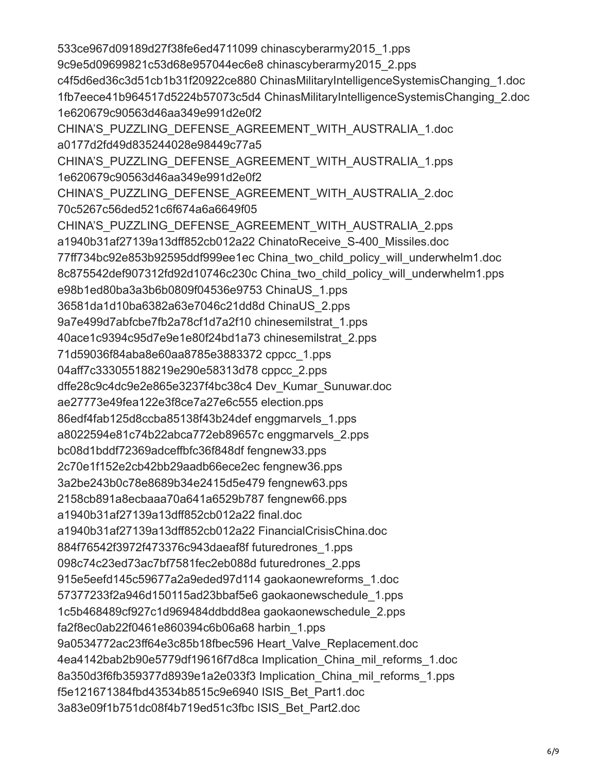533ce967d09189d27f38fe6ed4711099 chinascyberarmy2015\_1.pps 9c9e5d09699821c53d68e957044ec6e8 chinascyberarmy2015\_2.pps c4f5d6ed36c3d51cb1b31f20922ce880 ChinasMilitaryIntelligenceSystemisChanging\_1.doc 1fb7eece41b964517d5224b57073c5d4 ChinasMilitaryIntelligenceSystemisChanging\_2.doc 1e620679c90563d46aa349e991d2e0f2 CHINA'S\_PUZZLING\_DEFENSE\_AGREEMENT\_WITH\_AUSTRALIA\_1.doc a0177d2fd49d835244028e98449c77a5 CHINA'S\_PUZZLING\_DEFENSE\_AGREEMENT\_WITH\_AUSTRALIA\_1.pps 1e620679c90563d46aa349e991d2e0f2 CHINA'S\_PUZZLING\_DEFENSE\_AGREEMENT\_WITH\_AUSTRALIA\_2.doc 70c5267c56ded521c6f674a6a6649f05 CHINA'S\_PUZZLING\_DEFENSE\_AGREEMENT\_WITH\_AUSTRALIA\_2.pps a1940b31af27139a13dff852cb012a22 ChinatoReceive\_S-400\_Missiles.doc 77ff734bc92e853b92595ddf999ee1ec China\_two\_child\_policy\_will\_underwhelm1.doc 8c875542def907312fd92d10746c230c China\_two\_child\_policy\_will\_underwhelm1.pps e98b1ed80ba3a3b6b0809f04536e9753 ChinaUS\_1.pps 36581da1d10ba6382a63e7046c21dd8d ChinaUS\_2.pps 9a7e499d7abfcbe7fb2a78cf1d7a2f10 chinesemilstrat\_1.pps 40ace1c9394c95d7e9e1e80f24bd1a73 chinesemilstrat\_2.pps 71d59036f84aba8e60aa8785e3883372 cppcc\_1.pps 04aff7c333055188219e290e58313d78 cppcc\_2.pps dffe28c9c4dc9e2e865e3237f4bc38c4 Dev\_Kumar\_Sunuwar.doc ae27773e49fea122e3f8ce7a27e6c555 election.pps 86edf4fab125d8ccba85138f43b24def enggmarvels\_1.pps a8022594e81c74b22abca772eb89657c enggmarvels\_2.pps bc08d1bddf72369adceffbfc36f848df fengnew33.pps 2c70e1f152e2cb42bb29aadb66ece2ec fengnew36.pps 3a2be243b0c78e8689b34e2415d5e479 fengnew63.pps 2158cb891a8ecbaaa70a641a6529b787 fengnew66.pps a1940b31af27139a13dff852cb012a22 final.doc a1940b31af27139a13dff852cb012a22 FinancialCrisisChina.doc 884f76542f3972f473376c943daeaf8f futuredrones\_1.pps 098c74c23ed73ac7bf7581fec2eb088d futuredrones\_2.pps 915e5eefd145c59677a2a9eded97d114 gaokaonewreforms\_1.doc 57377233f2a946d150115ad23bbaf5e6 gaokaonewschedule\_1.pps 1c5b468489cf927c1d969484ddbdd8ea gaokaonewschedule\_2.pps fa2f8ec0ab22f0461e860394c6b06a68 harbin\_1.pps 9a0534772ac23ff64e3c85b18fbec596 Heart\_Valve\_Replacement.doc 4ea4142bab2b90e5779df19616f7d8ca Implication\_China\_mil\_reforms\_1.doc 8a350d3f6fb359377d8939e1a2e033f3 Implication\_China\_mil\_reforms\_1.pps f5e121671384fbd43534b8515c9e6940 ISIS\_Bet\_Part1.doc 3a83e09f1b751dc08f4b719ed51c3fbc ISIS\_Bet\_Part2.doc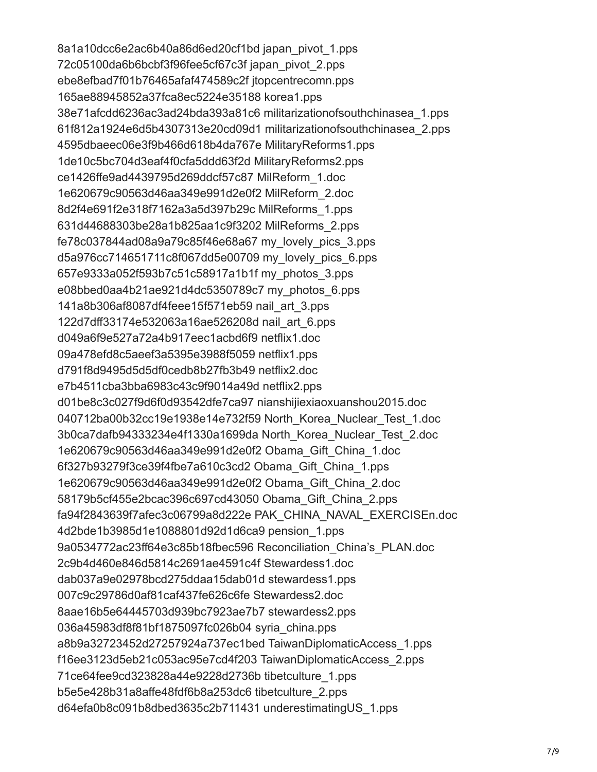8a1a10dcc6e2ac6b40a86d6ed20cf1bd japan\_pivot\_1.pps 72c05100da6b6bcbf3f96fee5cf67c3f japan\_pivot\_2.pps ebe8efbad7f01b76465afaf474589c2f jtopcentrecomn.pps 165ae88945852a37fca8ec5224e35188 korea1.pps 38e71afcdd6236ac3ad24bda393a81c6 militarizationofsouthchinasea\_1.pps 61f812a1924e6d5b4307313e20cd09d1 militarizationofsouthchinasea\_2.pps 4595dbaeec06e3f9b466d618b4da767e MilitaryReforms1.pps 1de10c5bc704d3eaf4f0cfa5ddd63f2d MilitaryReforms2.pps ce1426ffe9ad4439795d269ddcf57c87 MilReform\_1.doc 1e620679c90563d46aa349e991d2e0f2 MilReform\_2.doc 8d2f4e691f2e318f7162a3a5d397b29c MilReforms\_1.pps 631d44688303be28a1b825aa1c9f3202 MilReforms\_2.pps fe78c037844ad08a9a79c85f46e68a67 my\_lovely\_pics\_3.pps d5a976cc714651711c8f067dd5e00709 my\_lovely\_pics\_6.pps 657e9333a052f593b7c51c58917a1b1f my\_photos\_3.pps e08bbed0aa4b21ae921d4dc5350789c7 my\_photos\_6.pps 141a8b306af8087df4feee15f571eb59 nail\_art\_3.pps 122d7dff33174e532063a16ae526208d nail\_art\_6.pps d049a6f9e527a72a4b917eec1acbd6f9 netflix1.doc 09a478efd8c5aeef3a5395e3988f5059 netflix1.pps d791f8d9495d5d5df0cedb8b27fb3b49 netflix2.doc e7b4511cba3bba6983c43c9f9014a49d netflix2.pps d01be8c3c027f9d6f0d93542dfe7ca97 nianshijiexiaoxuanshou2015.doc 040712ba00b32cc19e1938e14e732f59 North\_Korea\_Nuclear\_Test\_1.doc 3b0ca7dafb94333234e4f1330a1699da North\_Korea\_Nuclear\_Test\_2.doc 1e620679c90563d46aa349e991d2e0f2 Obama\_Gift\_China\_1.doc 6f327b93279f3ce39f4fbe7a610c3cd2 Obama\_Gift\_China\_1.pps 1e620679c90563d46aa349e991d2e0f2 Obama\_Gift\_China\_2.doc 58179b5cf455e2bcac396c697cd43050 Obama\_Gift\_China\_2.pps fa94f2843639f7afec3c06799a8d222e PAK\_CHINA\_NAVAL\_EXERCISEn.doc 4d2bde1b3985d1e1088801d92d1d6ca9 pension\_1.pps 9a0534772ac23ff64e3c85b18fbec596 Reconciliation\_China's\_PLAN.doc 2c9b4d460e846d5814c2691ae4591c4f Stewardess1.doc dab037a9e02978bcd275ddaa15dab01d stewardess1.pps 007c9c29786d0af81caf437fe626c6fe Stewardess2.doc 8aae16b5e64445703d939bc7923ae7b7 stewardess2.pps 036a45983df8f81bf1875097fc026b04 syria\_china.pps a8b9a32723452d27257924a737ec1bed TaiwanDiplomaticAccess\_1.pps f16ee3123d5eb21c053ac95e7cd4f203 TaiwanDiplomaticAccess\_2.pps 71ce64fee9cd323828a44e9228d2736b tibetculture\_1.pps b5e5e428b31a8affe48fdf6b8a253dc6 tibetculture\_2.pps d64efa0b8c091b8dbed3635c2b711431 underestimatingUS\_1.pps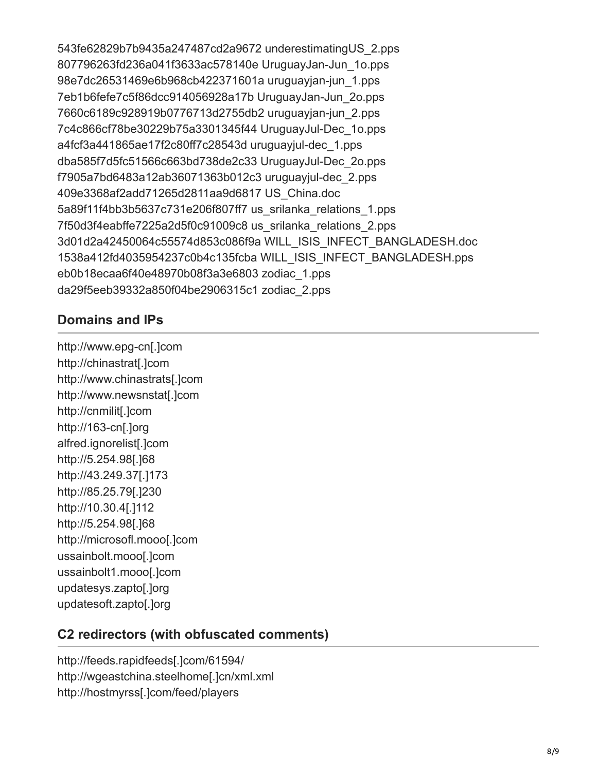543fe62829b7b9435a247487cd2a9672 underestimatingUS\_2.pps 807796263fd236a041f3633ac578140e UruguayJan-Jun\_1o.pps 98e7dc26531469e6b968cb422371601a uruguayjan-jun\_1.pps 7eb1b6fefe7c5f86dcc914056928a17b UruguayJan-Jun\_2o.pps 7660c6189c928919b0776713d2755db2 uruguayjan-jun\_2.pps 7c4c866cf78be30229b75a3301345f44 UruguayJul-Dec\_1o.pps a4fcf3a441865ae17f2c80ff7c28543d uruguayjul-dec\_1.pps dba585f7d5fc51566c663bd738de2c33 UruguayJul-Dec\_2o.pps f7905a7bd6483a12ab36071363b012c3 uruguayjul-dec\_2.pps 409e3368af2add71265d2811aa9d6817 US\_China.doc 5a89f11f4bb3b5637c731e206f807ff7 us\_srilanka\_relations\_1.pps 7f50d3f4eabffe7225a2d5f0c91009c8 us\_srilanka\_relations\_2.pps 3d01d2a42450064c55574d853c086f9a WILL\_ISIS\_INFECT\_BANGLADESH.doc 1538a412fd4035954237c0b4c135fcba WILL\_ISIS\_INFECT\_BANGLADESH.pps eb0b18ecaa6f40e48970b08f3a3e6803 zodiac\_1.pps da29f5eeb39332a850f04be2906315c1 zodiac\_2.pps

#### **Domains and IPs**

http://www.epg-cn[.]com http://chinastrat[.]com http://www.chinastrats[.]com http://www.newsnstat[.]com http://cnmilit[.]com http://163-cn[.]org alfred.ignorelist[.]com http://5.254.98[.]68 http://43.249.37[.]173 http://85.25.79[.]230 http://10.30.4[.]112 http://5.254.98[.]68 http://microsofl.mooo[.]com ussainbolt.mooo[.]com ussainbolt1.mooo[.]com updatesys.zapto[.]org updatesoft.zapto[.]org

#### **C2 redirectors (with obfuscated comments)**

http://feeds.rapidfeeds[.]com/61594/ http://wgeastchina.steelhome[.]cn/xml.xml http://hostmyrss[.]com/feed/players